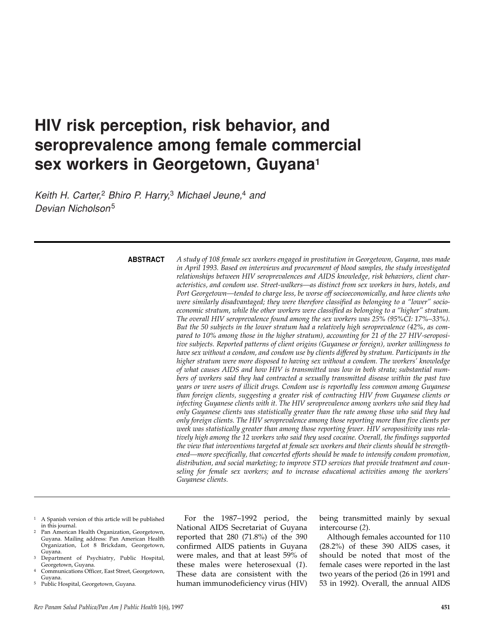# **HIV risk perception, risk behavior, and seroprevalence among female commercial sex workers in Georgetown, Guyana1**

*Keith H. Carter,*<sup>2</sup> *Bhiro P. Harry,*<sup>3</sup> *Michael Jeune,*<sup>4</sup> *and Devian Nicholson*<sup>5</sup>

**ABSTRACT**

*A study of 108 female sex workers engaged in prostitution in Georgetown, Guyana, was made in April 1993. Based on interviews and procurement of blood samples, the study investigated relationships between HIV seroprevalences and AIDS knowledge, risk behaviors, client characteristics, and condom use. Street-walkers—as distinct from sex workers in bars, hotels, and Port Georgetown—tended to charge less, be worse off socioeconomically, and have clients who were similarly disadvantaged; they were therefore classified as belonging to a "lower" socioeconomic stratum, while the other workers were classified as belonging to a "higher" stratum. The overall HIV seroprevalence found among the sex workers was 25% (95%CI: 17%–33%). But the 50 subjects in the lower stratum had a relatively high seroprevalence (42%, as compared to 10% among those in the higher stratum), accounting for 21 of the 27 HIV-seropositive subjects. Reported patterns of client origins (Guyanese or foreign), worker willingness to have sex without a condom, and condom use by clients differed by stratum. Participants in the higher stratum were more disposed to having sex without a condom. The workers' knowledge of what causes AIDS and how HIV is transmitted was low in both strata; substantial numbers of workers said they had contracted a sexually transmitted disease within the past two years or were users of illicit drugs. Condom use is reportedly less common among Guyanese than foreign clients, suggesting a greater risk of contracting HIV from Guyanese clients or infecting Guyanese clients with it. The HIV seroprevalence among workers who said they had only Guyanese clients was statistically greater than the rate among those who said they had only foreign clients. The HIV seroprevalence among those reporting more than five clients per week was statistically greater than among those reporting fewer. HIV seropositivity was relatively high among the 12 workers who said they used cocaine. Overall, the findings supported the view that interventions targeted at female sex workers and their clients should be strengthened—more specifically, that concerted efforts should be made to intensify condom promotion, distribution, and social marketing; to improve STD services that provide treatment and counseling for female sex workers; and to increase educational activities among the workers' Guyanese clients.*

- 1 A Spanish version of this article will be published in this journal.
- Pan American Health Organization, Georgetown, Guyana. Mailing address: Pan American Health Organization, Lot 8 Brickdam, Georgetown, Guyana.
- 3 Department of Psychiatry, Public Hospital, Georgetown, Guyana.
- Communications Officer, East Street, Georgetown, Guyana.
- Public Hospital, Georgetown, Guyana.

For the 1987–1992 period, the National AIDS Secretariat of Guyana reported that 280 (71.8%) of the 390 confirmed AIDS patients in Guyana were males, and that at least 59% of these males were heterosexual (*1*). These data are consistent with the human immunodeficiency virus (HIV)

being transmitted mainly by sexual intercourse (*2*).

Although females accounted for 110 (28.2%) of these 390 AIDS cases, it should be noted that most of the female cases were reported in the last two years of the period (26 in 1991 and 53 in 1992). Overall, the annual AIDS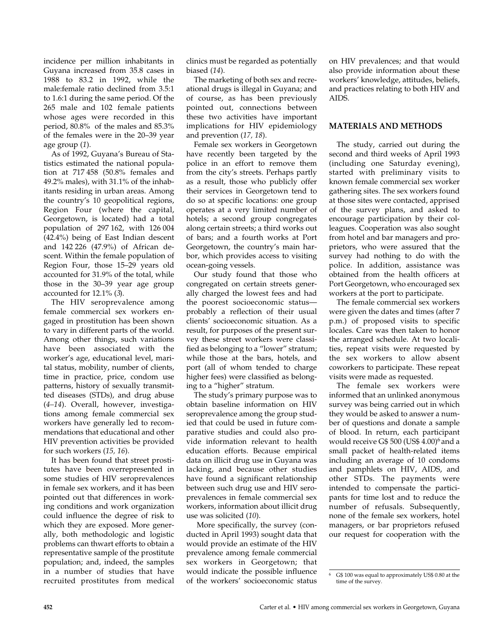incidence per million inhabitants in Guyana increased from 35.8 cases in 1988 to 83.2 in 1992, while the male:female ratio declined from 3.5:1 to 1.6:1 during the same period. Of the 265 male and 102 female patients whose ages were recorded in this period, 80.8% of the males and 85.3% of the females were in the 20–39 year age group (*1*).

As of 1992, Guyana's Bureau of Statistics estimated the national population at 717 458 (50.8% females and 49.2% males), with 31.1% of the inhabitants residing in urban areas. Among the country's 10 geopolitical regions, Region Four (where the capital, Georgetown, is located) had a total population of 297 162, with 126 004 (42.4%) being of East Indian descent and 142 226 (47.9%) of African descent. Within the female population of Region Four, those 15–29 years old accounted for 31.9% of the total, while those in the 30–39 year age group accounted for 12.1% (*3*).

The HIV seroprevalence among female commercial sex workers engaged in prostitution has been shown to vary in different parts of the world. Among other things, such variations have been associated with the worker's age, educational level, marital status, mobility, number of clients, time in practice, price, condom use patterns, history of sexually transmitted diseases (STDs), and drug abuse (*4–14*). Overall, however, investigations among female commercial sex workers have generally led to recommendations that educational and other HIV prevention activities be provided for such workers (*15, 16*).

It has been found that street prostitutes have been overrepresented in some studies of HIV seroprevalences in female sex workers, and it has been pointed out that differences in working conditions and work organization could influence the degree of risk to which they are exposed. More generally, both methodologic and logistic problems can thwart efforts to obtain a representative sample of the prostitute population; and, indeed, the samples in a number of studies that have recruited prostitutes from medical

clinics must be regarded as potentially biased (*14*).

The marketing of both sex and recreational drugs is illegal in Guyana; and of course, as has been previously pointed out, connections between these two activities have important implications for HIV epidemiology and prevention (*17, 18*).

Female sex workers in Georgetown have recently been targeted by the police in an effort to remove them from the city's streets. Perhaps partly as a result, those who publicly offer their services in Georgetown tend to do so at specific locations: one group operates at a very limited number of hotels; a second group congregates along certain streets; a third works out of bars; and a fourth works at Port Georgetown, the country's main harbor, which provides access to visiting ocean-going vessels.

Our study found that those who congregated on certain streets generally charged the lowest fees and had the poorest socioeconomic status probably a reflection of their usual clients' socioeconomic situation. As a result, for purposes of the present survey these street workers were classified as belonging to a "lower" stratum; while those at the bars, hotels, and port (all of whom tended to charge higher fees) were classified as belonging to a "higher" stratum.

The study's primary purpose was to obtain baseline information on HIV seroprevalence among the group studied that could be used in future comparative studies and could also provide information relevant to health education efforts. Because empirical data on illicit drug use in Guyana was lacking, and because other studies have found a significant relationship between such drug use and HIV seroprevalences in female commercial sex workers, information about illicit drug use was solicited (*10*).

More specifically, the survey (conducted in April 1993) sought data that would provide an estimate of the HIV prevalence among female commercial sex workers in Georgetown; that would indicate the possible influence of the workers' socioeconomic status

on HIV prevalences; and that would also provide information about these workers' knowledge, attitudes, beliefs, and practices relating to both HIV and AIDS.

## **MATERIALS AND METHODS**

The study, carried out during the second and third weeks of April 1993 (including one Saturday evening), started with preliminary visits to known female commercial sex worker gathering sites. The sex workers found at those sites were contacted, apprised of the survey plans, and asked to encourage participation by their colleagues. Cooperation was also sought from hotel and bar managers and proprietors, who were assured that the survey had nothing to do with the police. In addition, assistance was obtained from the health officers at Port Georgetown, who encouraged sex workers at the port to participate.

The female commercial sex workers were given the dates and times (after 7 p.m.) of proposed visits to specific locales. Care was then taken to honor the arranged schedule. At two localities, repeat visits were requested by the sex workers to allow absent coworkers to participate. These repeat visits were made as requested.

The female sex workers were informed that an unlinked anonymous survey was being carried out in which they would be asked to answer a number of questions and donate a sample of blood. In return, each participant would receive G\$ 500 (US\$ 4.00)<sup>6</sup> and a small packet of health-related items including an average of 10 condoms and pamphlets on HIV, AIDS, and other STDs. The payments were intended to compensate the participants for time lost and to reduce the number of refusals. Subsequently, none of the female sex workers, hotel managers, or bar proprietors refused our request for cooperation with the

<sup>6</sup> G\$ 100 was equal to approximately US\$ 0.80 at the time of the survey.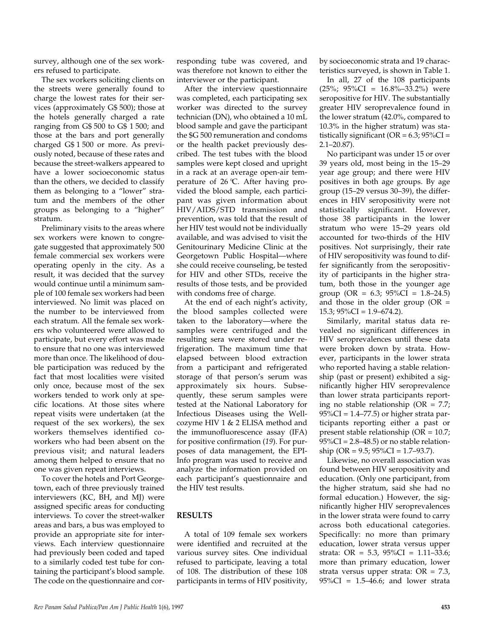survey, although one of the sex workers refused to participate.

The sex workers soliciting clients on the streets were generally found to charge the lowest rates for their services (approximately G\$ 500); those at the hotels generally charged a rate ranging from G\$ 500 to G\$ 1 500; and those at the bars and port generally charged G\$ 1 500 or more. As previously noted, because of these rates and because the street-walkers appeared to have a lower socioeconomic status than the others, we decided to classify them as belonging to a "lower" stratum and the members of the other groups as belonging to a "higher" stratum.

Preliminary visits to the areas where sex workers were known to congregate suggested that approximately 500 female commercial sex workers were operating openly in the city. As a result, it was decided that the survey would continue until a minimum sample of 100 female sex workers had been interviewed. No limit was placed on the number to be interviewed from each stratum. All the female sex workers who volunteered were allowed to participate, but every effort was made to ensure that no one was interviewed more than once. The likelihood of double participation was reduced by the fact that most localities were visited only once, because most of the sex workers tended to work only at specific locations. At those sites where repeat visits were undertaken (at the request of the sex workers), the sex workers themselves identified coworkers who had been absent on the previous visit; and natural leaders among them helped to ensure that no one was given repeat interviews.

To cover the hotels and Port Georgetown, each of three previously trained interviewers (KC, BH, and MJ) were assigned specific areas for conducting interviews. To cover the street-walker areas and bars, a bus was employed to provide an appropriate site for interviews. Each interview questionnaire had previously been coded and taped to a similarly coded test tube for containing the participant's blood sample. The code on the questionnaire and cor-

responding tube was covered, and was therefore not known to either the interviewer or the participant.

After the interview questionnaire was completed, each participating sex worker was directed to the survey technician (DN), who obtained a 10 mL blood sample and gave the participant the \$G 500 remuneration and condoms or the health packet previously described. The test tubes with the blood samples were kept closed and upright in a rack at an average open-air temperature of 26 °C. After having provided the blood sample, each participant was given information about HIV/AIDS/STD transmission and prevention, was told that the result of her HIV test would not be individually available, and was advised to visit the Genitourinary Medicine Clinic at the Georgetown Public Hospital—where she could receive counseling, be tested for HIV and other STDs, receive the results of those tests, and be provided with condoms free of charge.

At the end of each night's activity, the blood samples collected were taken to the laboratory—where the samples were centrifuged and the resulting sera were stored under refrigeration. The maximum time that elapsed between blood extraction from a participant and refrigerated storage of that person's serum was approximately six hours. Subsequently, these serum samples were tested at the National Laboratory for Infectious Diseases using the Wellcozyme HIV 1 & 2 ELISA method and the immunofluorescence assay (IFA) for positive confirmation (*19*). For purposes of data management, the EPI-Info program was used to receive and analyze the information provided on each participant's questionnaire and the HIV test results.

## **RESULTS**

A total of 109 female sex workers were identified and recruited at the various survey sites. One individual refused to participate, leaving a total of 108. The distribution of these 108 participants in terms of HIV positivity,

by socioeconomic strata and 19 characteristics surveyed, is shown in Table 1.

In all, 27 of the 108 participants  $(25\%; 95\%CI = 16.8\% - 33.2\%)$  were seropositive for HIV. The substantially greater HIV seroprevalence found in the lower stratum (42.0%, compared to 10.3% in the higher stratum) was statistically significant ( $OR = 6.3$ ;  $95\%CI =$ 2.1–20.87).

No participant was under 15 or over 39 years old, most being in the 15–29 year age group; and there were HIV positives in both age groups. By age group (15–29 versus 30–39), the differences in HIV seropositivity were not statistically significant. However, those 38 participants in the lower stratum who were 15–29 years old accounted for two-thirds of the HIV positives. Not surprisingly, their rate of HIV seropositivity was found to differ significantly from the seropositivity of participants in the higher stratum, both those in the younger age group (OR = 6.3;  $95\%CI = 1.8-24.5$ ) and those in the older group  $(OR =$  $15.3$ ;  $95\%CI = 1.9 - 674.2$ ).

Similarly, marital status data revealed no significant differences in HIV seroprevalences until these data were broken down by strata. However, participants in the lower strata who reported having a stable relationship (past or present) exhibited a significantly higher HIV seroprevalence than lower strata participants reporting no stable relationship ( $OR = 7.7$ ;  $95\%CI = 1.4 - 77.5$ ) or higher strata participants reporting either a past or present stable relationship (OR = 10.7;  $95\%CI = 2.8 - 48.5$  or no stable relationship (OR =  $9.5$ ;  $95\%CI = 1.7-93.7$ ).

Likewise, no overall association was found between HIV seropositivity and education. (Only one participant, from the higher stratum, said she had no formal education.) However, the significantly higher HIV seroprevalences in the lower strata were found to carry across both educational categories. Specifically: no more than primary education, lower strata versus upper strata: OR = 5.3, 95%CI = 1.11–33.6; more than primary education, lower strata versus upper strata:  $OR = 7.3$ ,  $95\%CI = 1.5–46.6$ ; and lower strata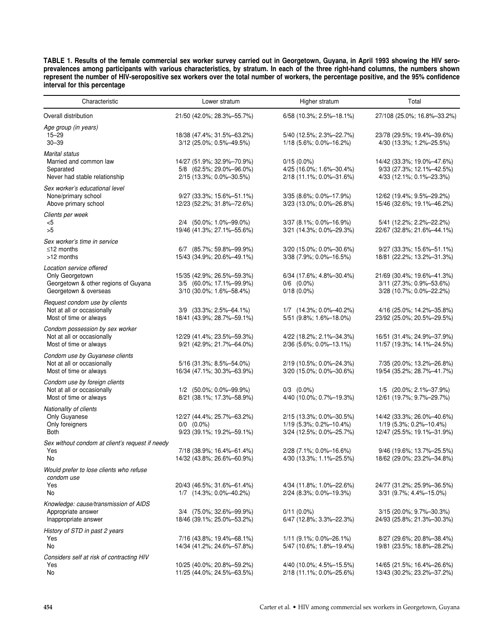**TABLE 1. Results of the female commercial sex worker survey carried out in Georgetown, Guyana, in April 1993 showing the HIV seroprevalences among participants with various characteristics, by stratum. In each of the three right-hand columns, the numbers shown represent the number of HIV-seropositive sex workers over the total number of workers, the percentage positive, and the 95% confidence interval for this percentage**

| Characteristic                                                                                               | Lower stratum                                                                      | Higher stratum                                                                    | Total                                                                               |
|--------------------------------------------------------------------------------------------------------------|------------------------------------------------------------------------------------|-----------------------------------------------------------------------------------|-------------------------------------------------------------------------------------|
| Overall distribution                                                                                         | 21/50 (42.0%; 28.3%-55.7%)                                                         | $6/58$ (10.3%; 2.5%-18.1%)                                                        | 27/108 (25.0%; 16.8%-33.2%)                                                         |
| Age group (in years)<br>15–29<br>$30 - 39$                                                                   | 18/38 (47.4%; 31.5%-63.2%)<br>3/12 (25.0%; 0.5%-49.5%)                             | 5/40 (12.5%; 2.3%-22.7%)<br>$1/18$ (5.6%; 0.0%-16.2%)                             | 23/78 (29.5%; 19.4%-39.6%)<br>4/30 (13.3%; 1.2%-25.5%)                              |
| <b>Marital status</b><br>Married and common law<br>Separated<br>Never had stable relationship                | 14/27 (51.9%; 32.9%-70.9%)<br>5/8 (62.5%; 29.0%-96.0%)<br>2/15 (13.3%; 0.0%-30.5%) | $0/15(0.0\%)$<br>4/25 (16.0%; 1.6%-30.4%)<br>2/18 (11.1%; 0.0%-31.6%)             | 14/42 (33.3%; 19.0%-47.6%)<br>9/33 (27.3%; 12.1%-42.5%)<br>4/33 (12.1%; 0.1%-23.3%) |
| Sex worker's educational level<br>None/primary school<br>Above primary school                                | 9/27 (33.3%; 15.6%-51.1%)<br>12/23 (52.2%; 31.8%-72.6%)                            | 3/35 (8.6%; 0.0%-17.9%)<br>3/23 (13.0%; 0.0%-26.8%)                               | 12/62 (19.4%; 9.5%-29.2%)<br>15/46 (32.6%; 19.1%-46.2%)                             |
| Clients per week<br><5<br>>5                                                                                 | 2/4 (50.0%; 1.0%-99.0%)<br>19/46 (41.3%; 27.1%-55.6%)                              | $3/37$ (8.1%; 0.0%-16.9%)<br>3/21 (14.3%; 0.0%-29.3%)                             | 5/41 (12.2%; 2.2%-22.2%)<br>22/67 (32.8%; 21.6%-44.1%)                              |
| Sex worker's time in service<br>$\leq$ 12 months<br>>12 months                                               | 6/7 (85.7%; 59.8%-99.9%)<br>15/43 (34.9%; 20.6%-49.1%)                             | 3/20 (15.0%; 0.0%-30.6%)<br>3/38 (7.9%; 0.0%-16.5%)                               | $9/27$ (33.3%; 15.6%-51.1%)<br>18/81 (22.2%; 13.2%-31.3%)                           |
| Location service offered<br>Only Georgetown<br>Georgetown & other regions of Guyana<br>Georgetown & overseas | 15/35 (42.9%; 26.5%-59.3%)<br>3/5 (60.0%; 17.1%-99.9%)<br>3/10 (30.0%; 1.6%-58.4%) | 6/34 (17.6%; 4.8%-30.4%)<br>$0/6$ $(0.0\%)$<br>$0/18(0.0\%)$                      | 21/69 (30.4%; 19.6%-41.3%)<br>3/11 (27.3%; 0.9%-53.6%)<br>3/28 (10.7%; 0.0%-22.2%)  |
| Request condom use by clients<br>Not at all or occasionally<br>Most of time or always                        | 3/9 (33.3%; 2.5%-64.1%)<br>18/41 (43.9%; 28.7%-59.1%)                              | $1/7$ $(14.3\%; 0.0\% - 40.2\%)$<br>5/51 (9.8%; 1.6%-18.0%)                       | 4/16 (25.0%; 14.2%-35.8%)<br>23/92 (25.0%; 20.5%-29.5%)                             |
| Condom possession by sex worker<br>Not at all or occasionally<br>Most of time or always                      | 12/29 (41.4%; 23.5%-59.3%)<br>$9/21$ (42.9%; 21.7%-64.0%)                          | 4/22 (18.2%; 2.1%-34.3%)<br>2/36 (5.6%; 0.0%-13.1%)                               | 16/51 (31.4%; 24.9%-37.9%)<br>11/57 (19.3%; 14.1%-24.5%)                            |
| Condom use by Guyanese clients<br>Not at all or occasionally<br>Most of time or always                       | 5/16 (31.3%; 8.5%-54.0%)<br>16/34 (47.1%; 30.3%-63.9%)                             | 2/19 (10.5%; 0.0%-24.3%)<br>$3/20$ (15.0%; 0.0%-30.6%)                            | 7/35 (20.0%; 13.2%-26.8%)<br>19/54 (35.2%; 28.7%-41.7%)                             |
| Condom use by foreign clients<br>Not at all or occasionally<br>Most of time or always                        | $1/2$ (50.0%; 0.0%-99.9%)<br>8/21 (38.1%; 17.3%-58.9%)                             | $0/3$ $(0.0\%)$<br>4/40 (10.0%; 0.7%-19.3%)                                       | 1/5 (20.0%; 2.1%-37.9%)<br>12/61 (19.7%; 9.7%-29.7%)                                |
| Nationality of clients<br>Only Guyanese<br>Only foreigners<br>Both                                           | 12/27 (44.4%; 25.7%-63.2%)<br>$0/0$ $(0.0\%)$<br>9/23 (39.1%; 19.2%-59.1%)         | 2/15 (13.3%; 0.0%-30.5%)<br>$1/19$ (5.3%; 0.2%-10.4%)<br>3/24 (12.5%; 0.0%-25.7%) | 14/42 (33.3%; 26.0%-40.6%)<br>1/19 (5.3%; 0.2%-10.4%)<br>12/47 (25.5%; 19.1%-31.9%) |
| Sex without condom at client's request if needy<br>Yes<br>No                                                 | 7/18 (38.9%; 16.4%-61.4%)<br>14/32 (43.8%; 26.6%-60.9%)                            | 2/28 (7.1%; 0.0%-16.6%)<br>4/30 (13.3%; 1.1%-25.5%)                               | 9/46 (19.6%; 13.7%-25.5%)<br>18/62 (29.0%; 23.2%-34.8%)                             |
| Would prefer to lose clients who refuse<br>condom use<br>Yes<br>No                                           | 20/43 (46.5%; 31.6%-61.4%)<br>1/7 (14.3%; 0.0%-40.2%)                              | 4/34 (11.8%; 1.0%-22.6%)<br>$2/24$ (8.3%; 0.0%-19.3%)                             | 24/77 (31.2%; 25.9%-36.5%)<br>3/31 (9.7%; 4.4%–15.0%)                               |
| Knowledge: cause/transmission of AIDS<br>Appropriate answer<br>Inappropriate answer                          | 3/4 (75.0%; 32.6%-99.9%)<br>18/46 (39.1%; 25.0%-53.2%)                             | $0/11(0.0\%)$<br>6/47 (12.8%; 3.3%-22.3%)                                         | 3/15 (20.0%; 9.7%-30.3%)<br>24/93 (25.8%; 21.3%-30.3%)                              |
| History of STD in past 2 years<br>Yes<br>No                                                                  | 7/16 (43.8%; 19.4%-68.1%)<br>14/34 (41.2%; 24.6%-57.8%)                            | 1/11 (9.1%; 0.0%-26.1%)<br>5/47 (10.6%; 1.8%–19.4%)                               | 8/27 (29.6%; 20.8%-38.4%)<br>19/81 (23.5%; 18.8%-28.2%)                             |
| Considers self at risk of contracting HIV<br>Yes<br>No                                                       | 10/25 (40.0%; 20.8%-59.2%)<br>11/25 (44.0%; 24.5%-63.5%)                           | 4/40 (10.0%; 4.5%-15.5%)<br>2/18 (11.1%; 0.0%–25.6%)                              | 14/65 (21.5%; 16.4%-26.6%)<br>13/43 (30.2%; 23.2%-37.2%)                            |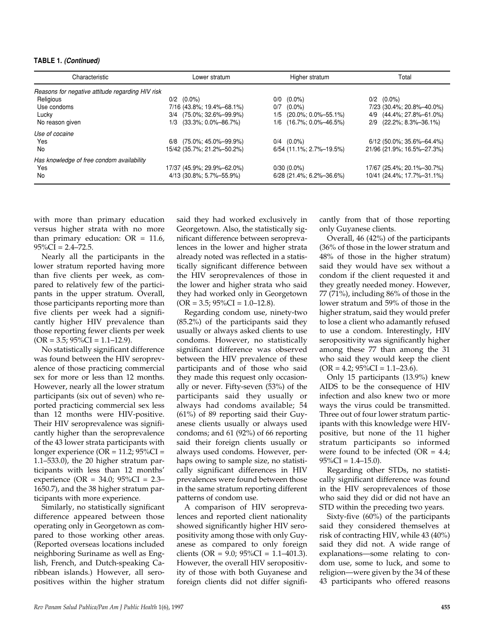#### **TABLE 1.** *(Continued)*

| Characteristic                                   | Lower stratum              | Higher stratum             | Total                       |
|--------------------------------------------------|----------------------------|----------------------------|-----------------------------|
| Reasons for negative attitude regarding HIV risk |                            |                            |                             |
| Religious                                        | $0/2$ $(0.0\%)$            | $0/0$ $(0.0\%)$            | $0/2$ $(0.0\%)$             |
| Use condoms                                      | 7/16 (43.8%; 19.4%-68.1%)  | $(0.0\%)$<br>0/7           | 7/23 (30.4%; 20.8%-40.0%)   |
| Lucky                                            | 3/4 (75.0%; 32.6%-99.9%)   | (20.0%; 0.0%-55.1%)<br>1/5 | (44.4%; 27.8%-61.0%)<br>4/9 |
| No reason given                                  | (33.3%; 0.0%—86.7%)<br>1/3 | 1/6 (16.7%; 0.0%-46.5%)    | 2/9 (22.2%; 8.3%-36.1%)     |
| Use of cocaine                                   |                            |                            |                             |
| Yes                                              | 6/8 (75.0%; 45.0%-99.9%)   | $0/4$ $(0.0\%)$            | $6/12$ (50.0%; 35.6%-64.4%) |
| No                                               | 15/42 (35.7%; 21.2%-50.2%) | 6/54 (11.1%; 2.7%-19.5%)   | 21/96 (21.9%; 16.5%-27.3%)  |
| Has knowledge of free condom availability        |                            |                            |                             |
| Yes                                              | 17/37 (45.9%; 29.9%-62.0%) | $0/30(0.0\%)$              | 17/67 (25.4%; 20.1%-30.7%)  |
| No                                               | 4/13 (30.8%; 5.7%-55.9%)   | $6/28$ (21.4%; 6.2%-36.6%) | 10/41 (24.4%; 17.7%-31.1%)  |

with more than primary education versus higher strata with no more than primary education:  $OR = 11.6$ ,  $95\%CI = 2.4 - 72.5.$ 

Nearly all the participants in the lower stratum reported having more than five clients per week, as compared to relatively few of the participants in the upper stratum. Overall, those participants reporting more than five clients per week had a significantly higher HIV prevalence than those reporting fewer clients per week  $(OR = 3.5; 95\%CI = 1.1–12.9).$ 

No statistically significant difference was found between the HIV seroprevalence of those practicing commercial sex for more or less than 12 months. However, nearly all the lower stratum participants (six out of seven) who reported practicing commercial sex less than 12 months were HIV-positive. Their HIV seroprevalence was significantly higher than the seroprevalence of the 43 lower strata participants with longer experience (OR =  $11.2$ ;  $95\%CI =$ 1.1–533.0), the 20 higher stratum participants with less than 12 months' experience (OR = 34.0; 95%CI = 2.3– 1650.7), and the 38 higher stratum participants with more experience.

Similarly, no statistically significant difference appeared between those operating only in Georgetown as compared to those working other areas. (Reported overseas locations included neighboring Suriname as well as English, French, and Dutch-speaking Caribbean islands.) However, all seropositives within the higher stratum

said they had worked exclusively in Georgetown. Also, the statistically significant difference between seroprevalences in the lower and higher strata already noted was reflected in a statistically significant difference between the HIV seroprevalences of those in the lower and higher strata who said they had worked only in Georgetown  $(OR = 3.5; 95\% CI = 1.0-12.8).$ 

Regarding condom use, ninety-two (85.2%) of the participants said they usually or always asked clients to use condoms. However, no statistically significant difference was observed between the HIV prevalence of these participants and of those who said they made this request only occasionally or never. Fifty-seven (53%) of the participants said they usually or always had condoms available; 54 (61%) of 89 reporting said their Guyanese clients usually or always used condoms; and 61 (92%) of 66 reporting said their foreign clients usually or always used condoms. However, perhaps owing to sample size, no statistically significant differences in HIV prevalences were found between those in the same stratum reporting different patterns of condom use.

A comparison of HIV seroprevalences and reported client nationality showed significantly higher HIV seropositivity among those with only Guyanese as compared to only foreign clients (OR = 9.0;  $95\%CI = 1.1-401.3$ ). However, the overall HIV seropositivity of those with both Guyanese and foreign clients did not differ significantly from that of those reporting only Guyanese clients.

Overall, 46 (42%) of the participants (36% of those in the lower stratum and 48% of those in the higher stratum) said they would have sex without a condom if the client requested it and they greatly needed money. However, 77 (71%), including 86% of those in the lower stratum and 59% of those in the higher stratum, said they would prefer to lose a client who adamantly refused to use a condom. Interestingly, HIV seropositivity was significantly higher among these 77 than among the 31 who said they would keep the client  $(OR = 4.2; 95\%CI = 1.1–23.6).$ 

Only 15 participants (13.9%) knew AIDS to be the consequence of HIV infection and also knew two or more ways the virus could be transmitted. Three out of four lower stratum participants with this knowledge were HIVpositive, but none of the 11 higher stratum participants so informed were found to be infected ( $OR = 4.4$ ;  $95\%CI = 1.4 - 15.0$ ).

Regarding other STDs, no statistically significant difference was found in the HIV seroprevalences of those who said they did or did not have an STD within the preceding two years.

Sixty-five (60%) of the participants said they considered themselves at risk of contracting HIV, while 43 (40%) said they did not. A wide range of explanations—some relating to condom use, some to luck, and some to religion—were given by the 34 of these 43 participants who offered reasons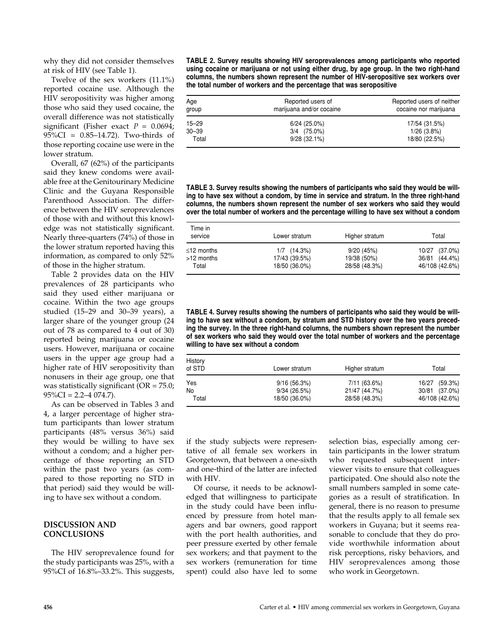why they did not consider themselves at risk of HIV (see Table 1).

Twelve of the sex workers (11.1%) reported cocaine use. Although the HIV seropositivity was higher among those who said they used cocaine, the overall difference was not statistically significant (Fisher exact  $P = 0.0694$ ; 95%CI = 0.85–14.72). Two-thirds of those reporting cocaine use were in the lower stratum.

Overall, 67 (62%) of the participants said they knew condoms were available free at the Genitourinary Medicine Clinic and the Guyana Responsible Parenthood Association. The difference between the HIV seroprevalences of those with and without this knowledge was not statistically significant. Nearly three-quarters (74%) of those in the lower stratum reported having this information, as compared to only 52% of those in the higher stratum.

Table 2 provides data on the HIV prevalences of 28 participants who said they used either marijuana or cocaine. Within the two age groups studied (15–29 and 30–39 years), a larger share of the younger group (24 out of 78 as compared to 4 out of 30) reported being marijuana or cocaine users. However, marijuana or cocaine users in the upper age group had a higher rate of HIV seropositivity than nonusers in their age group, one that was statistically significant (OR = 75.0;  $95\%CI = 2.2 - 4.074.7$ .

As can be observed in Tables 3 and 4, a larger percentage of higher stratum participants than lower stratum participants (48% versus 36%) said they would be willing to have sex without a condom; and a higher percentage of those reporting an STD within the past two years (as compared to those reporting no STD in that period) said they would be willing to have sex without a condom.

## **DISCUSSION AND CONCLUSIONS**

The HIV seroprevalence found for the study participants was 25%, with a 95%CI of 16.8%–33.2%. This suggests, **TABLE 2. Survey results showing HIV seroprevalences among participants who reported using cocaine or marijuana or not using either drug, by age group. In the two right-hand columns, the numbers shown represent the number of HIV-seropositive sex workers over the total number of workers and the percentage that was seropositive**

| Age<br>group | Reported users of<br>marijuana and/or cocaine | Reported users of neither<br>cocaine nor marijuana |
|--------------|-----------------------------------------------|----------------------------------------------------|
| $15 - 29$    | $6/24(25.0\%)$                                | 17/54 (31.5%)                                      |
| $30 - 39$    | $3/4$ $(75.0\%)$                              | $1/26$ (3.8%)                                      |
| Total        | $9/28(32.1\%)$                                | 18/80 (22.5%)                                      |

**TABLE 3. Survey results showing the numbers of participants who said they would be willing to have sex without a condom, by time in service and stratum. In the three right-hand columns, the numbers shown represent the number of sex workers who said they would over the total number of workers and the percentage willing to have sex without a condom**

| Time in<br>service | Lower stratum    | Higher stratum | Total          |
|--------------------|------------------|----------------|----------------|
| $\leq$ 12 months   | $1/7$ $(14.3\%)$ | 9/20(45%)      | 10/27 (37.0%)  |
| >12 months         | 17/43 (39.5%)    | 19/38 (50%)    | 36/81 (44.4%)  |
| Total              | 18/50 (36.0%)    | 28/58 (48.3%)  | 46/108 (42.6%) |

**TABLE 4. Survey results showing the numbers of participants who said they would be willing to have sex without a condom, by stratum and STD history over the two years preceding the survey. In the three right-hand columns, the numbers shown represent the number of sex workers who said they would over the total number of workers and the percentage willing to have sex without a condom**

| History<br>of STD | Lower stratum | Higher stratum | Total            |
|-------------------|---------------|----------------|------------------|
| Yes               | 9/16(56.3%)   | 7/11 (63.6%)   | (59.3%)<br>16/27 |
| No                | 9/34(26.5%)   | 21/47 (44.7%)  | 30/81 (37.0%)    |
| Total             | 18/50 (36.0%) | 28/58 (48.3%)  | 46/108 (42.6%)   |

if the study subjects were representative of all female sex workers in Georgetown, that between a one-sixth and one-third of the latter are infected with HIV.

Of course, it needs to be acknowledged that willingness to participate in the study could have been influenced by pressure from hotel managers and bar owners, good rapport with the port health authorities, and peer pressure exerted by other female sex workers; and that payment to the sex workers (remuneration for time spent) could also have led to some selection bias, especially among certain participants in the lower stratum who requested subsequent interviewer visits to ensure that colleagues participated. One should also note the small numbers sampled in some categories as a result of stratification. In general, there is no reason to presume that the results apply to all female sex workers in Guyana; but it seems reasonable to conclude that they do provide worthwhile information about risk perceptions, risky behaviors, and HIV seroprevalences among those who work in Georgetown.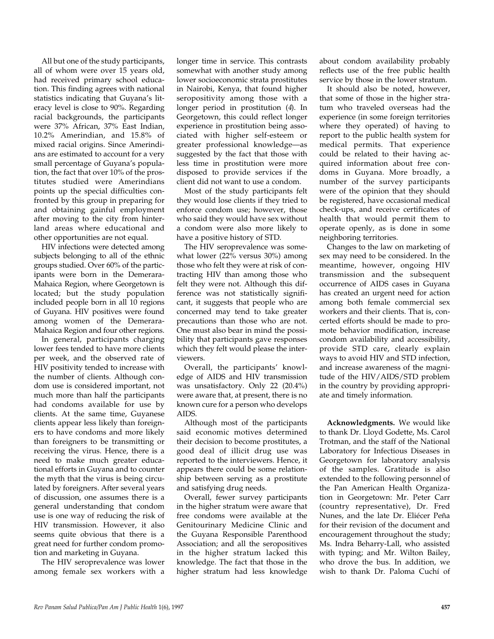All but one of the study participants, all of whom were over 15 years old, had received primary school education. This finding agrees with national statistics indicating that Guyana's literacy level is close to 90%. Regarding racial backgrounds, the participants were 37% African, 37% East Indian, 10.2% Amerindian, and 15.8% of mixed racial origins. Since Amerindians are estimated to account for a very small percentage of Guyana's population, the fact that over 10% of the prostitutes studied were Amerindians points up the special difficulties confronted by this group in preparing for and obtaining gainful employment after moving to the city from hinterland areas where educational and other opportunities are not equal.

HIV infections were detected among subjects belonging to all of the ethnic groups studied. Over 60% of the participants were born in the Demerara-Mahaica Region, where Georgetown is located; but the study population included people born in all 10 regions of Guyana. HIV positives were found among women of the Demerara-Mahaica Region and four other regions.

In general, participants charging lower fees tended to have more clients per week, and the observed rate of HIV positivity tended to increase with the number of clients. Although condom use is considered important, not much more than half the participants had condoms available for use by clients. At the same time, Guyanese clients appear less likely than foreigners to have condoms and more likely than foreigners to be transmitting or receiving the virus. Hence, there is a need to make much greater educational efforts in Guyana and to counter the myth that the virus is being circulated by foreigners. After several years of discussion, one assumes there is a general understanding that condom use is one way of reducing the risk of HIV transmission. However, it also seems quite obvious that there is a great need for further condom promotion and marketing in Guyana.

The HIV seroprevalence was lower among female sex workers with a

longer time in service. This contrasts somewhat with another study among lower socioeconomic strata prostitutes in Nairobi, Kenya, that found higher seropositivity among those with a longer period in prostitution (*4*). In Georgetown, this could reflect longer experience in prostitution being associated with higher self-esteem or greater professional knowledge—as suggested by the fact that those with less time in prostitution were more disposed to provide services if the client did not want to use a condom.

Most of the study participants felt they would lose clients if they tried to enforce condom use; however, those who said they would have sex without a condom were also more likely to have a positive history of STD.

The HIV seroprevalence was somewhat lower (22% versus 30%) among those who felt they were at risk of contracting HIV than among those who felt they were not. Although this difference was not statistically significant, it suggests that people who are concerned may tend to take greater precautions than those who are not. One must also bear in mind the possibility that participants gave responses which they felt would please the interviewers.

Overall, the participants' knowledge of AIDS and HIV transmission was unsatisfactory. Only 22 (20.4%) were aware that, at present, there is no known cure for a person who develops AIDS.

Although most of the participants said economic motives determined their decision to become prostitutes, a good deal of illicit drug use was reported to the interviewers. Hence, it appears there could be some relationship between serving as a prostitute and satisfying drug needs.

Overall, fewer survey participants in the higher stratum were aware that free condoms were available at the Genitourinary Medicine Clinic and the Guyana Responsible Parenthood Association; and all the seropositives in the higher stratum lacked this knowledge. The fact that those in the higher stratum had less knowledge

about condom availability probably reflects use of the free public health service by those in the lower stratum.

It should also be noted, however, that some of those in the higher stratum who traveled overseas had the experience (in some foreign territories where they operated) of having to report to the public health system for medical permits. That experience could be related to their having acquired information about free condoms in Guyana. More broadly, a number of the survey participants were of the opinion that they should be registered, have occasional medical check-ups, and receive certificates of health that would permit them to operate openly, as is done in some neighboring territories.

Changes to the law on marketing of sex may need to be considered. In the meantime, however, ongoing HIV transmission and the subsequent occurrence of AIDS cases in Guyana has created an urgent need for action among both female commercial sex workers and their clients. That is, concerted efforts should be made to promote behavior modification, increase condom availability and accessibility, provide STD care, clearly explain ways to avoid HIV and STD infection, and increase awareness of the magnitude of the HIV/AIDS/STD problem in the country by providing appropriate and timely information.

**Acknowledgments.** We would like to thank Dr. Lloyd Godette, Ms. Carol Trotman, and the staff of the National Laboratory for Infectious Diseases in Georgetown for laboratory analysis of the samples. Gratitude is also extended to the following personnel of the Pan American Health Organization in Georgetown: Mr. Peter Carr (country representative), Dr. Fred Nunes, and the late Dr. Eliécer Peña for their revision of the document and encouragement throughout the study; Ms. Indra Beharry-Lall, who assisted with typing; and Mr. Wilton Bailey, who drove the bus. In addition, we wish to thank Dr. Paloma Cuchí of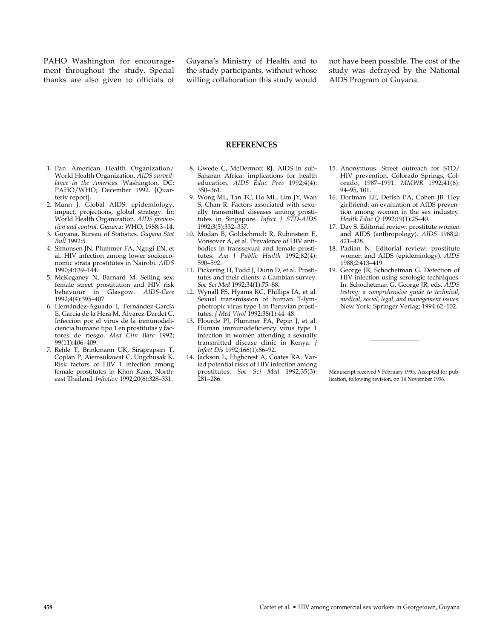PAHO Washington for encouragement throughout the study. Special thanks are also given to officials of Guyana's Ministry of Health and to the study participants, without whose willing collaboration this study would not have been possible. The cost of the study was defrayed by the National AIDS Program of Guyana.

### **REFERENCES**

- 1. Pan American Health Organization/ World Health Organization. *AIDS surveillance in the Americas.* Washington, DC: PAHO/WHO; December 1992. [Quarterly report].
- 2. Mann J. Global AIDS: epidemiology, impact, projections, global strategy. In: World Health Organization. *AIDS prevention and control.* Geneva: WHO; 1988:3–14.
- 3. Guyana, Bureau of Statistics. *Guyana Stat Bull* 1992:5.
- 4. Simonsen JN, Plummer FA, Ngugi EN, et al. HIV infection among lower socioeconomic strata prostitutes in Nairobi. *AIDS* 1990;4:139–144.
- 5. McKeganey N, Barnard M. Selling sex: female street prostitution and HIV risk behaviour in Glasgow. *AIDS-Care* 1992;4(4):395–407.
- 6. Hernández-Aguado I, Fernández-García E, García de la Hera M, Álvarez-Dardet C. Infección por el virus de la inmunodeficiencia humano tipo 1 en prostitutas y factores de riesgo. *Med Clin Barc* 1992; 99(11):406–409.
- 7. Rehle T, Brinkmann UK, Siraprapsiri T, Coplan P, Aiemsukawat C, Ungchusak K. Risk factors of HIV 1 infection among female prostitutes in Khon Kaen, Northeast Thailand. *Infection* 1992;20(6):328–331.
- 8. Gwede C, McDermott RJ. AIDS in sub-Saharan Africa: implications for health education. *AIDS Educ Prev* 1992;4(4): 350–361.
- 9. Wong ML, Tan TC, Ho ML, Lim JY, Wan S, Chan R. Factors associated with sexually transmitted diseases among prostitutes in Singapore. *Infect J STD-AIDS* 1992;3(5):332–337.
- 10. Modan B, Goldschmidt R, Rubinstein E, Vonsover A, et al. Prevalence of HIV antibodies in transsexual and female prostitutes. *Am J Public Health* 1992;82(4): 590–592.
- 11. Pickering H, Todd J, Dunn D, et al. Prostitutes and their clients: a Gambian survey. *Soc Sci Med* 1992;34(1):75–88.
- 12. Wynall FS, Hyams KC, Phillips IA, et al. Sexual transmission of human T-lymphotropic virus type 1 in Peruvian prostitutes. *J Med Virol* 1992;38(1):44–48.
- 13. Plourde PJ, Plummer FA, Pepin J, et al. Human immunodeficiency virus type 1 infection in women attending a sexually transmitted disease clinic in Kenya. *J Infect Dis* 1992;166(1):86–92.
- 14. Jackson L, Highcrest A, Coates RA. Varied potential risks of HIV infection among prostitutes. *Soc Sci Med* 1992;35(3): 281–286.
- 15. Anonymous. Street outreach for STD/ HIV prevention, Colorado Springs, Colorado, 1987-1991. *MMWR* 1992;41(6): 94–95, 101.
- 16. Dorfman LE, Derish PA, Cohen JB. Hey girlfriend: an evaluation of AIDS prevention among women in the sex industry. *Health Educ Q* 1992;19(1):25–40.
- 17. Day S. Editorial review: prostitute women and AIDS (anthropology). *AIDS* 1988;2: 421–428.
- 18. Padian N. Editorial review: prostitute women and AIDS (epidemiology). *AIDS* 1988;2:413–419.
- 19. George JR, Schochetman G. Detection of HIV infection using serologic techniques. In: Schochetman G, George JR, eds. *AIDS testing: a comprehensive guide to technical, medical, social, legal, and management issues.* New York: Springer Verlag; 1994:62–102.

Manuscript received 9 February 1995. Accepted for publication, following revision, on 14 November 1996.